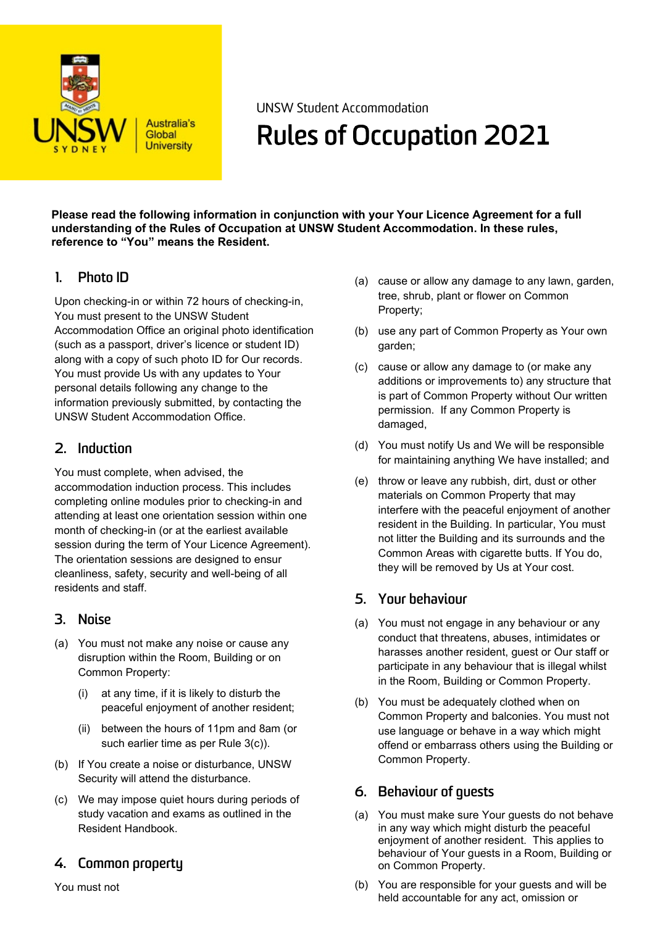

**Australia's** Global **University** 

UNSW Student Accommodation

# Rules of Occupation 2021

**Please read the following information in conjunction with your Your Licence Agreement for a full understanding of the Rules of Occupation at UNSW Student Accommodation. In these rules, reference to "You" means the Resident.**

## **1. Photo ID**

Upon checking-in or within 72 hours of checking-in, You must present to the UNSW Student Accommodation Office an original photo identification (such as a passport, driver's licence or student ID) along with a copy of such photo ID for Our records. You must provide Us with any updates to Your personal details following any change to the information previously submitted, by contacting the UNSW Student Accommodation Office.

## **2. Induction**

You must complete, when advised, the accommodation induction process. This includes completing online modules prior to checking-in and attending at least one orientation session within one month of checking-in (or at the earliest available session during the term of Your Licence Agreement). The orientation sessions are designed to ensur cleanliness, safety, security and well-being of all residents and staff.

## **3. Noise**

- (a) You must not make any noise or cause any disruption within the Room, Building or on Common Property:
	- (i) at any time, if it is likely to disturb the peaceful enjoyment of another resident;
	- (ii) between the hours of 11pm and 8am (or such earlier time as per Rule 3(c)).
- (b) If You create a noise or disturbance, UNSW Security will attend the disturbance.
- (c) We may impose quiet hours during periods of study vacation and exams as outlined in the Resident Handbook.

## **4. Common property**

You must not

- (a) cause or allow any damage to any lawn, garden, tree, shrub, plant or flower on Common Property;
- (b) use any part of Common Property as Your own garden;
- (c) cause or allow any damage to (or make any additions or improvements to) any structure that is part of Common Property without Our written permission. If any Common Property is damaged,
- (d) You must notify Us and We will be responsible for maintaining anything We have installed; and
- (e) throw or leave any rubbish, dirt, dust or other materials on Common Property that may interfere with the peaceful enjoyment of another resident in the Building. In particular, You must not litter the Building and its surrounds and the Common Areas with cigarette butts. If You do, they will be removed by Us at Your cost.

## **5. Your behaviour**

- (a) You must not engage in any behaviour or any conduct that threatens, abuses, intimidates or harasses another resident, guest or Our staff or participate in any behaviour that is illegal whilst in the Room, Building or Common Property.
- (b) You must be adequately clothed when on Common Property and balconies. You must not use language or behave in a way which might offend or embarrass others using the Building or Common Property.

## **6. Behaviour of guests**

- (a) You must make sure Your guests do not behave in any way which might disturb the peaceful enjoyment of another resident. This applies to behaviour of Your guests in a Room, Building or on Common Property.
- (b) You are responsible for your guests and will be held accountable for any act, omission or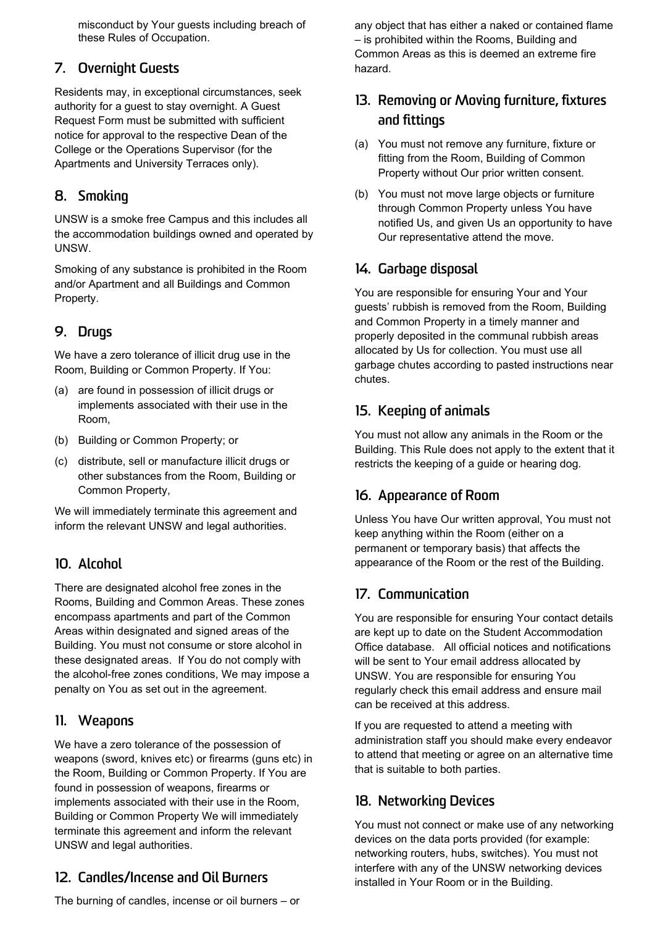misconduct by Your guests including breach of these Rules of Occupation.

## **7. Overnight Guests**

Residents may, in exceptional circumstances, seek authority for a guest to stay overnight. A Guest Request Form must be submitted with sufficient notice for approval to the respective Dean of the College or the Operations Supervisor (for the Apartments and University Terraces only).

## **8. Smoking**

UNSW is a smoke free Campus and this includes all the accommodation buildings owned and operated by UNSW.

Smoking of any substance is prohibited in the Room and/or Apartment and all Buildings and Common Property.

## **9. Drugs**

We have a zero tolerance of illicit drug use in the Room, Building or Common Property. If You:

- (a) are found in possession of illicit drugs or implements associated with their use in the Room,
- (b) Building or Common Property; or
- (c) distribute, sell or manufacture illicit drugs or other substances from the Room, Building or Common Property,

We will immediately terminate this agreement and inform the relevant UNSW and legal authorities.

## **10. Alcohol**

There are designated alcohol free zones in the Rooms, Building and Common Areas. These zones encompass apartments and part of the Common Areas within designated and signed areas of the Building. You must not consume or store alcohol in these designated areas. If You do not comply with the alcohol-free zones conditions, We may impose a penalty on You as set out in the agreement.

## **11. Weapons**

We have a zero tolerance of the possession of weapons (sword, knives etc) or firearms (guns etc) in the Room, Building or Common Property. If You are found in possession of weapons, firearms or implements associated with their use in the Room, Building or Common Property We will immediately terminate this agreement and inform the relevant UNSW and legal authorities.

## **12. Candles/Incense and Oil Burners**

The burning of candles, incense or oil burners – or

any object that has either a naked or contained flame – is prohibited within the Rooms, Building and Common Areas as this is deemed an extreme fire hazard.

# **13. Removing or Moving furniture, fixtures and fittings**

- (a) You must not remove any furniture, fixture or fitting from the Room, Building of Common Property without Our prior written consent.
- (b) You must not move large objects or furniture through Common Property unless You have notified Us, and given Us an opportunity to have Our representative attend the move.

## **14. Garbage disposal**

You are responsible for ensuring Your and Your guests' rubbish is removed from the Room, Building and Common Property in a timely manner and properly deposited in the communal rubbish areas allocated by Us for collection. You must use all garbage chutes according to pasted instructions near chutes.

## **15. Keeping of animals**

You must not allow any animals in the Room or the Building. This Rule does not apply to the extent that it restricts the keeping of a guide or hearing dog.

## **16. Appearance of Room**

Unless You have Our written approval, You must not keep anything within the Room (either on a permanent or temporary basis) that affects the appearance of the Room or the rest of the Building.

#### **17. Communication**

You are responsible for ensuring Your contact details are kept up to date on the Student Accommodation Office database. All official notices and notifications will be sent to Your email address allocated by UNSW. You are responsible for ensuring You regularly check this email address and ensure mail can be received at this address.

If you are requested to attend a meeting with administration staff you should make every endeavor to attend that meeting or agree on an alternative time that is suitable to both parties.

## **18. Networking Devices**

You must not connect or make use of any networking devices on the data ports provided (for example: networking routers, hubs, switches). You must not interfere with any of the UNSW networking devices installed in Your Room or in the Building.